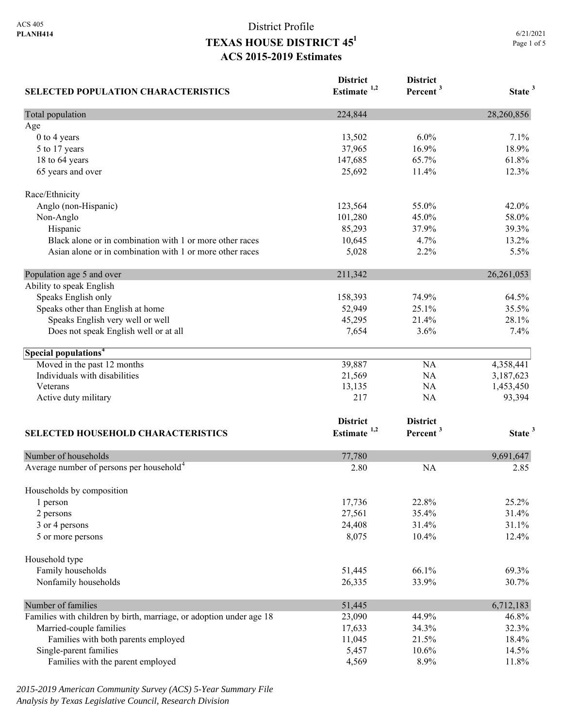| <b>SELECTED POPULATION CHARACTERISTICS</b>                          | <b>District</b><br>Estimate <sup>1,2</sup> | <b>District</b><br>Percent <sup>3</sup> | State <sup>3</sup> |
|---------------------------------------------------------------------|--------------------------------------------|-----------------------------------------|--------------------|
| Total population                                                    | 224,844                                    |                                         | 28,260,856         |
| Age                                                                 |                                            |                                         |                    |
| 0 to 4 years                                                        | 13,502                                     | 6.0%                                    | 7.1%               |
| 5 to 17 years                                                       | 37,965                                     | 16.9%                                   | 18.9%              |
| 18 to 64 years                                                      | 147,685                                    | 65.7%                                   | 61.8%              |
| 65 years and over                                                   | 25,692                                     | 11.4%                                   | 12.3%              |
| Race/Ethnicity                                                      |                                            |                                         |                    |
| Anglo (non-Hispanic)                                                | 123,564                                    | 55.0%                                   | 42.0%              |
| Non-Anglo                                                           | 101,280                                    | 45.0%                                   | 58.0%              |
| Hispanic                                                            | 85,293                                     | 37.9%                                   | 39.3%              |
| Black alone or in combination with 1 or more other races            | 10,645                                     | 4.7%                                    | 13.2%              |
| Asian alone or in combination with 1 or more other races            | 5,028                                      | 2.2%                                    | 5.5%               |
| Population age 5 and over                                           | 211,342                                    |                                         | 26, 261, 053       |
| Ability to speak English                                            |                                            |                                         |                    |
| Speaks English only                                                 | 158,393                                    | 74.9%                                   | 64.5%              |
| Speaks other than English at home                                   | 52,949                                     | 25.1%                                   | 35.5%              |
| Speaks English very well or well                                    | 45,295                                     | 21.4%                                   | 28.1%              |
| Does not speak English well or at all                               | 7,654                                      | 3.6%                                    | 7.4%               |
| Special populations <sup>4</sup>                                    |                                            |                                         |                    |
| Moved in the past 12 months                                         | 39,887                                     | NA                                      | 4,358,441          |
| Individuals with disabilities                                       | 21,569                                     | NA                                      | 3,187,623          |
| Veterans                                                            | 13,135                                     | NA                                      | 1,453,450          |
| Active duty military                                                | 217                                        | NA                                      | 93,394             |
|                                                                     | <b>District</b>                            | <b>District</b>                         |                    |
| <b>SELECTED HOUSEHOLD CHARACTERISTICS</b>                           | Estimate <sup>1,2</sup>                    | Percent <sup>3</sup>                    | State <sup>3</sup> |
|                                                                     |                                            |                                         |                    |
| Number of households                                                | 77,780                                     |                                         | 9,691,647          |
| Average number of persons per household <sup>4</sup>                | 2.80                                       | <b>NA</b>                               | 2.85               |
| Households by composition                                           |                                            |                                         |                    |
| 1 person                                                            | 17,736                                     | 22.8%                                   | 25.2%              |
| 2 persons                                                           | 27,561                                     | 35.4%                                   | 31.4%              |
| 3 or 4 persons                                                      | 24,408                                     | 31.4%                                   | 31.1%              |
| 5 or more persons                                                   | 8,075                                      | 10.4%                                   | 12.4%              |
| Household type                                                      |                                            |                                         |                    |
| Family households                                                   | 51,445                                     | 66.1%                                   | 69.3%              |
| Nonfamily households                                                | 26,335                                     | 33.9%                                   | 30.7%              |
| Number of families                                                  | 51,445                                     |                                         | 6,712,183          |
| Families with children by birth, marriage, or adoption under age 18 | 23,090                                     | 44.9%                                   | 46.8%              |
| Married-couple families                                             | 17,633                                     | 34.3%                                   | 32.3%              |
| Families with both parents employed                                 | 11,045                                     | 21.5%                                   | 18.4%              |
| Single-parent families                                              | 5,457                                      | 10.6%                                   | 14.5%              |
| Families with the parent employed                                   | 4,569                                      | 8.9%                                    | 11.8%              |

*2015-2019 American Community Survey (ACS) 5-Year Summary File Analysis by Texas Legislative Council, Research Division*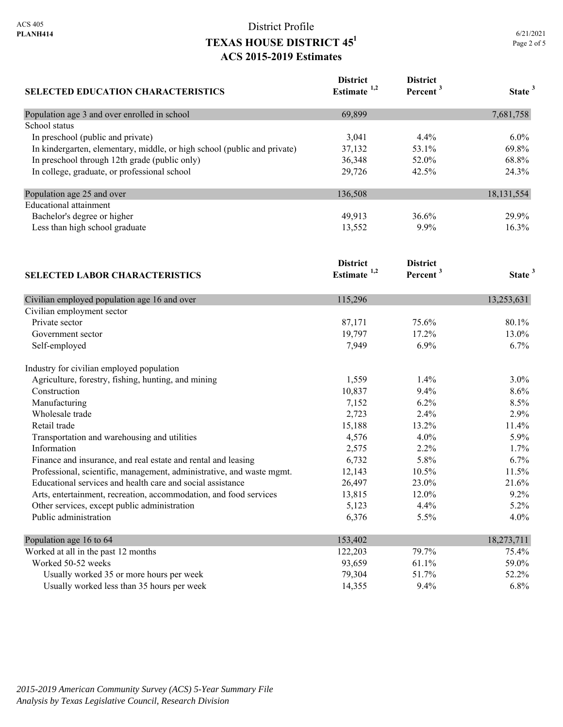| SELECTED EDUCATION CHARACTERISTICS                                       | <b>District</b><br>Estimate <sup>1,2</sup> | <b>District</b><br>Percent <sup>3</sup> | State <sup>3</sup> |
|--------------------------------------------------------------------------|--------------------------------------------|-----------------------------------------|--------------------|
| Population age 3 and over enrolled in school                             | 69,899                                     |                                         | 7,681,758          |
| School status                                                            |                                            |                                         |                    |
| In preschool (public and private)                                        | 3,041                                      | 4.4%                                    | 6.0%               |
| In kindergarten, elementary, middle, or high school (public and private) | 37,132                                     | 53.1%                                   | 69.8%              |
| In preschool through 12th grade (public only)                            | 36,348                                     | 52.0%                                   | 68.8%              |
| In college, graduate, or professional school                             | 29,726                                     | 42.5%                                   | 24.3%              |
| Population age 25 and over                                               | 136,508                                    |                                         | 18, 131, 554       |
| <b>Educational</b> attainment                                            |                                            |                                         |                    |
| Bachelor's degree or higher                                              | 49,913                                     | 36.6%                                   | 29.9%              |
| Less than high school graduate                                           | 13,552                                     | 9.9%                                    | 16.3%              |
|                                                                          | <b>District</b>                            | <b>District</b>                         |                    |
| <b>SELECTED LABOR CHARACTERISTICS</b>                                    | Estimate $1,2$                             | Percent <sup>3</sup>                    | State <sup>3</sup> |
| Civilian employed population age 16 and over                             | 115,296                                    |                                         | 13,253,631         |
| Civilian employment sector                                               |                                            |                                         |                    |
| Private sector                                                           | 87,171                                     | 75.6%                                   | 80.1%              |
| Government sector                                                        | 19,797                                     | 17.2%                                   | 13.0%              |
| Self-employed                                                            | 7,949                                      | 6.9%                                    | 6.7%               |
| Industry for civilian employed population                                |                                            |                                         |                    |
| Agriculture, forestry, fishing, hunting, and mining                      | 1,559                                      | 1.4%                                    | 3.0%               |
| Construction                                                             | 10,837                                     | 9.4%                                    | 8.6%               |
| Manufacturing                                                            | 7,152                                      | 6.2%                                    | 8.5%               |
| Wholesale trade                                                          | 2,723                                      | 2.4%                                    | 2.9%               |
| Retail trade                                                             | 15,188                                     | 13.2%                                   | 11.4%              |
| Transportation and warehousing and utilities                             | 4,576                                      | 4.0%                                    | 5.9%               |
| Information                                                              | 2,575                                      | 2.2%                                    | 1.7%               |
| Finance and insurance, and real estate and rental and leasing            | 6,732                                      | 5.8%                                    | 6.7%               |
| Professional, scientific, management, administrative, and waste mgmt.    | 12,143                                     | 10.5%                                   | 11.5%              |
| Educational services and health care and social assistance               | 26,497                                     | 23.0%                                   | 21.6%              |
| Arts, entertainment, recreation, accommodation, and food services        | 13,815                                     | 12.0%                                   | 9.2%               |
| Other services, except public administration                             | 5,123                                      | 4.4%                                    | 5.2%               |
| Public administration                                                    | 6,376                                      | 5.5%                                    | 4.0%               |
| Population age 16 to 64                                                  | 153,402                                    |                                         | 18,273,711         |
| Worked at all in the past 12 months                                      | 122,203                                    | 79.7%                                   | 75.4%              |
| Worked 50-52 weeks                                                       | 93,659                                     | 61.1%                                   | 59.0%              |
| Usually worked 35 or more hours per week                                 | 79,304                                     | 51.7%                                   | 52.2%              |
| Usually worked less than 35 hours per week                               | 14,355                                     | 9.4%                                    | 6.8%               |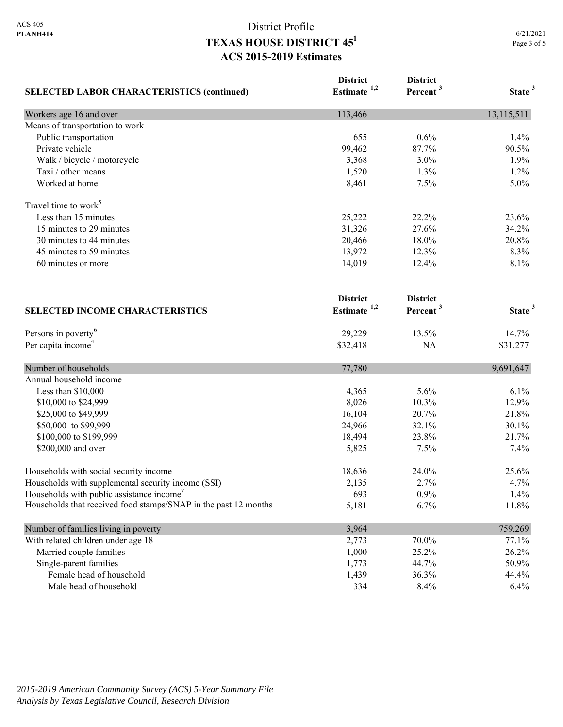| <b>SELECTED LABOR CHARACTERISTICS (continued)</b>               | <b>District</b><br>Estimate <sup>1,2</sup> | <b>District</b><br>Percent <sup>3</sup> | State <sup>3</sup> |
|-----------------------------------------------------------------|--------------------------------------------|-----------------------------------------|--------------------|
| Workers age 16 and over                                         | 113,466                                    |                                         | 13,115,511         |
| Means of transportation to work                                 |                                            |                                         |                    |
| Public transportation                                           | 655                                        | 0.6%                                    | 1.4%               |
| Private vehicle                                                 | 99,462                                     | 87.7%                                   | 90.5%              |
| Walk / bicycle / motorcycle                                     | 3,368                                      | 3.0%                                    | 1.9%               |
| Taxi / other means                                              | 1,520                                      | 1.3%                                    | 1.2%               |
| Worked at home                                                  | 8,461                                      | 7.5%                                    | 5.0%               |
| Travel time to work <sup>5</sup>                                |                                            |                                         |                    |
| Less than 15 minutes                                            | 25,222                                     | 22.2%                                   | 23.6%              |
| 15 minutes to 29 minutes                                        | 31,326                                     | 27.6%                                   | 34.2%              |
| 30 minutes to 44 minutes                                        | 20,466                                     | 18.0%                                   | 20.8%              |
| 45 minutes to 59 minutes                                        | 13,972                                     | 12.3%                                   | 8.3%               |
| 60 minutes or more                                              | 14,019                                     | 12.4%                                   | 8.1%               |
| <b>SELECTED INCOME CHARACTERISTICS</b>                          | <b>District</b><br>Estimate <sup>1,2</sup> | <b>District</b><br>Percent <sup>3</sup> | State <sup>3</sup> |
| Persons in poverty <sup>6</sup>                                 | 29,229                                     | 13.5%                                   | 14.7%              |
| Per capita income <sup>4</sup>                                  | \$32,418                                   | NA                                      | \$31,277           |
| Number of households                                            | 77,780                                     |                                         | 9,691,647          |
| Annual household income                                         |                                            |                                         |                    |
| Less than \$10,000                                              | 4,365                                      | 5.6%                                    | 6.1%               |
| \$10,000 to \$24,999                                            | 8,026                                      | 10.3%                                   | 12.9%              |
| \$25,000 to \$49,999                                            | 16,104                                     | 20.7%                                   | 21.8%              |
| \$50,000 to \$99,999                                            | 24,966                                     | 32.1%                                   | 30.1%              |
| \$100,000 to \$199,999                                          | 18,494                                     | 23.8%                                   | 21.7%              |
| \$200,000 and over                                              | 5,825                                      | 7.5%                                    | 7.4%               |
| Households with social security income                          | 18,636                                     | 24.0%                                   | 25.6%              |
| Households with supplemental security income (SSI)              | 2,135                                      | 2.7%                                    | 4.7%               |
| Households with public assistance income'                       | 693                                        | 0.9%                                    | 1.4%               |
| Households that received food stamps/SNAP in the past 12 months | 5,181                                      | 6.7%                                    | 11.8%              |
| Number of families living in poverty                            | 3,964                                      |                                         | 759,269            |
| With related children under age 18                              | 2,773                                      | 70.0%                                   | 77.1%              |
| Married couple families                                         | 1,000                                      | 25.2%                                   | 26.2%              |
| Single-parent families                                          | 1,773                                      | 44.7%                                   | 50.9%              |
| Female head of household                                        | 1,439                                      | 36.3%                                   | 44.4%              |
| Male head of household                                          | 334                                        | 8.4%                                    | 6.4%               |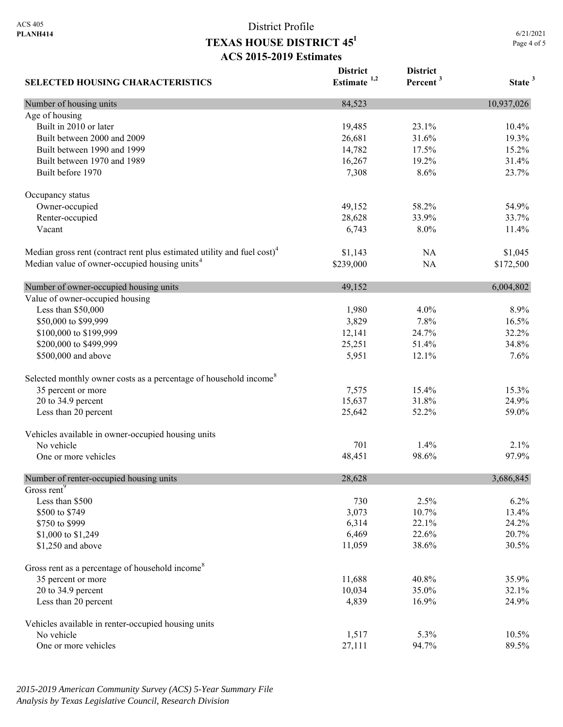**SELECTED HOUSING CHARACTERISTICS District Estimate 1,2 District Percent <sup>3</sup> State <sup>3</sup>** Number of housing units 10,937,026 Age of housing Built in 2010 or later 19,485 23.1% 10.4% Built between 2000 and 2009 26,681 31.6% 19.3% 19.3% Built between 1990 and 1999 14,782 17.5% 15.2% Built between 1970 and 1989 16,267 19.2% 31.4% Built before 1970 23.7% 23.7% Occupancy status Owner-occupied 54.9% 54.9% 54.9% Renter-occupied 28,628 33.9% 33.7% Vacant 6,743 8.0% 11.4% Median gross rent (contract rent plus estimated utility and fuel cost)<sup>4</sup> 81,143 NA \$1,045 Median value of owner-occupied housing units<sup>4</sup> \$239,000 NA \$172,500 Number of owner-occupied housing units  $49,152$  6,004,802 Value of owner-occupied housing Less than \$50,000 1,980 4.0% 8.9% \$50,000 to \$99,999 3,829 7.8% 16.5% \$100,000 to \$199,999 12,141 24.7% 32.2% 32.2% \$200,000 to \$499,999 25,251 51.4% 34.8% \$500,000 and above 5,951 12.1% 7.6% 7.6% Selected monthly owner costs as a percentage of household income<sup>8</sup> 35 percent or more 15.3% 15.3% 15.3% 20 to 34.9 percent 24.9% 24.9% 26.97 and 24.9% 24.9% 26.97 and 25.637 and 25.637 and 25.637 and 25.637 and 25.07 and 25.07 and 25.07 and 25.07 and 25.07 and 25.07 and 25.07 and 25.07 and 25.07 and 25.07 and 25.07 and 25.07 Less than 20 percent 25,642 59.0% 59.0% Vehicles available in owner-occupied housing units No vehicle 701 1.4% 2.1% One or more vehicles 97.9% 97.9% 97.9% Number of renter-occupied housing units 28,628 3,686,845 Gross rent<sup>9</sup> Less than \$500 2.5% 6.2% 6.2% \$500 to \$749 **3,073** 10.7% 13.4%  $\frac{$750 \text{ to } $999}$  24.2% 24.2% \$1,000 to \$1,249 20.7% 20.7% \$1,250 and above 30.5% 30.5% 30.5% 30.5% 30.5% 30.5% 30.5% 30.5% 30.5% 30.5% 30.5% 30.5% 30.5% 30.5% 30.5% 30.5% 30.5% 30.5% 30.5% 30.5% 30.5% 30.5% 30.5% 30.5% 30.5% 30.5% 30.5% 30.5% 30.5% 30.5% 30.5% 30.5% 30.5% 30.5% 3 Gross rent as a percentage of household income<sup>8</sup> 35 percent or more 35.9% 35.9% 20 to 34.9 percent 10,034 35.0% 32.1% Less than 20 percent 24.9% 24.9% 24.9% 26.9% 26.9% 26.9% 26.9% 26.9% 26.9% 26.9% 26.9% 26.9% 26.9% 26.9% 26.9% 26.9% 26.9% 26.9% 26.9% 26.9% 26.9% 26.9% 26.9% 26.9% 26.9% 26.9% 26.9% 26.9% 26.9% 26.9% 26.9% 26.9% 26.9% 26. Vehicles available in renter-occupied housing units No vehicle 1,517 5.3% 10.5% One or more vehicles 89.5% 89.5%